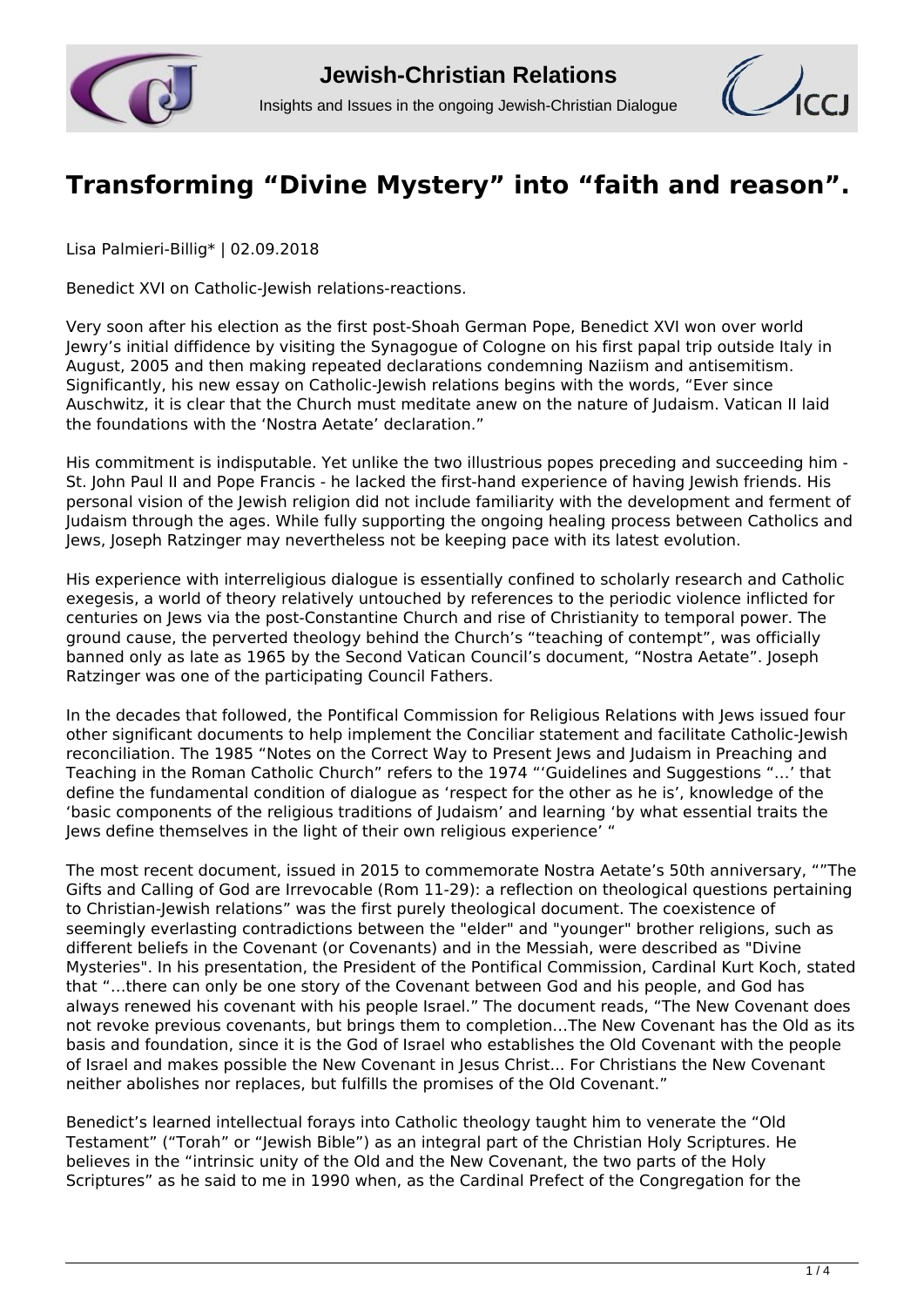



## **[Transforming "Divine Mystery" into "faith and reason".](http://www.jcrelations.net/Transforming____Divine_Mystery____into____faith_and_reason.6144.0.html?L=3)**

Lisa Palmieri-Billig\* | 02.09.2018

Benedict XVI on Catholic-Jewish relations-reactions.

Very soon after his election as the first post-Shoah German Pope, Benedict XVI won over world Jewry's initial diffidence by visiting the Synagogue of Cologne on his first papal trip outside Italy in August, 2005 and then making repeated declarations condemning Naziism and antisemitism. Significantly, his new essay on Catholic-Jewish relations begins with the words, "Ever since Auschwitz, it is clear that the Church must meditate anew on the nature of Judaism. Vatican II laid the foundations with the 'Nostra Aetate' declaration."

His commitment is indisputable. Yet unlike the two illustrious popes preceding and succeeding him - St. John Paul II and Pope Francis - he lacked the first-hand experience of having Jewish friends. His personal vision of the Jewish religion did not include familiarity with the development and ferment of Judaism through the ages. While fully supporting the ongoing healing process between Catholics and Jews, Joseph Ratzinger may nevertheless not be keeping pace with its latest evolution.

His experience with interreligious dialogue is essentially confined to scholarly research and Catholic exegesis, a world of theory relatively untouched by references to the periodic violence inflicted for centuries on Jews via the post-Constantine Church and rise of Christianity to temporal power. The ground cause, the perverted theology behind the Church's "teaching of contempt", was officially banned only as late as 1965 by the Second Vatican Council's document, "Nostra Aetate". Joseph Ratzinger was one of the participating Council Fathers.

In the decades that followed, the Pontifical Commission for Religious Relations with Jews issued four other significant documents to help implement the Conciliar statement and facilitate Catholic-Jewish reconciliation. The 1985 "Notes on the Correct Way to Present Jews and Judaism in Preaching and Teaching in the Roman Catholic Church" refers to the 1974 "'Guidelines and Suggestions "…' that define the fundamental condition of dialogue as 'respect for the other as he is', knowledge of the 'basic components of the religious traditions of Judaism' and learning 'by what essential traits the Jews define themselves in the light of their own religious experience' "

The most recent document, issued in 2015 to commemorate Nostra Aetate's 50th anniversary, ""The Gifts and Calling of God are Irrevocable (Rom 11-29): a reflection on theological questions pertaining to Christian-Jewish relations" was the first purely theological document. The coexistence of seemingly everlasting contradictions between the "elder" and "younger" brother religions, such as different beliefs in the Covenant (or Covenants) and in the Messiah, were described as "Divine Mysteries". In his presentation, the President of the Pontifical Commission, Cardinal Kurt Koch, stated that "…there can only be one story of the Covenant between God and his people, and God has always renewed his covenant with his people Israel." The document reads, "The New Covenant does not revoke previous covenants, but brings them to completion…The New Covenant has the Old as its basis and foundation, since it is the God of Israel who establishes the Old Covenant with the people of Israel and makes possible the New Covenant in Jesus Christ... For Christians the New Covenant neither abolishes nor replaces, but fulfills the promises of the Old Covenant."

Benedict's learned intellectual forays into Catholic theology taught him to venerate the "Old Testament" ("Torah" or "Jewish Bible") as an integral part of the Christian Holy Scriptures. He believes in the "intrinsic unity of the Old and the New Covenant, the two parts of the Holy Scriptures" as he said to me in 1990 when, as the Cardinal Prefect of the Congregation for the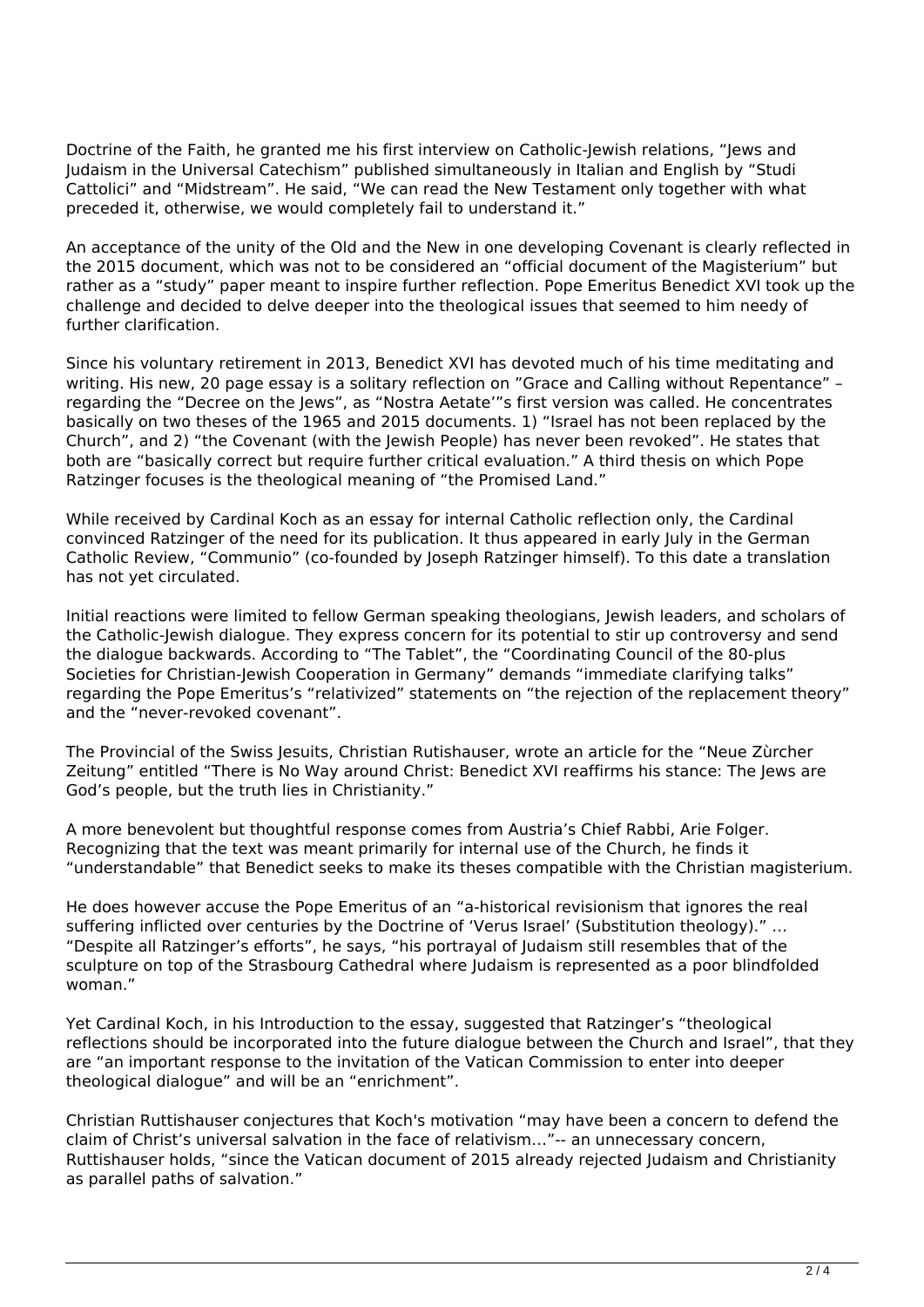Doctrine of the Faith, he granted me his first interview on Catholic-Jewish relations, "Jews and Judaism in the Universal Catechism" published simultaneously in Italian and English by "Studi Cattolici" and "Midstream". He said, "We can read the New Testament only together with what preceded it, otherwise, we would completely fail to understand it."

An acceptance of the unity of the Old and the New in one developing Covenant is clearly reflected in the 2015 document, which was not to be considered an "official document of the Magisterium" but rather as a "study" paper meant to inspire further reflection. Pope Emeritus Benedict XVI took up the challenge and decided to delve deeper into the theological issues that seemed to him needy of further clarification.

Since his voluntary retirement in 2013, Benedict XVI has devoted much of his time meditating and writing. His new, 20 page essay is a solitary reflection on "Grace and Calling without Repentance" – regarding the "Decree on the Jews", as "Nostra Aetate'"s first version was called. He concentrates basically on two theses of the 1965 and 2015 documents. 1) "Israel has not been replaced by the Church", and 2) "the Covenant (with the Jewish People) has never been revoked". He states that both are "basically correct but require further critical evaluation." A third thesis on which Pope Ratzinger focuses is the theological meaning of "the Promised Land."

While received by Cardinal Koch as an essay for internal Catholic reflection only, the Cardinal convinced Ratzinger of the need for its publication. It thus appeared in early July in the German Catholic Review, "Communio" (co-founded by Joseph Ratzinger himself). To this date a translation has not yet circulated.

Initial reactions were limited to fellow German speaking theologians, Jewish leaders, and scholars of the Catholic-Jewish dialogue. They express concern for its potential to stir up controversy and send the dialogue backwards. According to "The Tablet", the "Coordinating Council of the 80-plus Societies for Christian-Jewish Cooperation in Germany" demands "immediate clarifying talks" regarding the Pope Emeritus's "relativized" statements on "the rejection of the replacement theory" and the "never-revoked covenant".

The Provincial of the Swiss Jesuits, Christian Rutishauser, wrote an article for the "Neue Zùrcher Zeitung" entitled "There is No Way around Christ: Benedict XVI reaffirms his stance: The Jews are God's people, but the truth lies in Christianity."

A more benevolent but thoughtful response comes from Austria's Chief Rabbi, Arie Folger. Recognizing that the text was meant primarily for internal use of the Church, he finds it "understandable" that Benedict seeks to make its theses compatible with the Christian magisterium.

He does however accuse the Pope Emeritus of an "a-historical revisionism that ignores the real suffering inflicted over centuries by the Doctrine of 'Verus Israel' (Substitution theology)." … "Despite all Ratzinger's efforts", he says, "his portrayal of Judaism still resembles that of the sculpture on top of the Strasbourg Cathedral where Judaism is represented as a poor blindfolded woman."

Yet Cardinal Koch, in his Introduction to the essay, suggested that Ratzinger's "theological reflections should be incorporated into the future dialogue between the Church and Israel", that they are "an important response to the invitation of the Vatican Commission to enter into deeper theological dialogue" and will be an "enrichment".

Christian Ruttishauser conjectures that Koch's motivation "may have been a concern to defend the claim of Christ's universal salvation in the face of relativism…"-- an unnecessary concern, Ruttishauser holds, "since the Vatican document of 2015 already rejected Judaism and Christianity as parallel paths of salvation."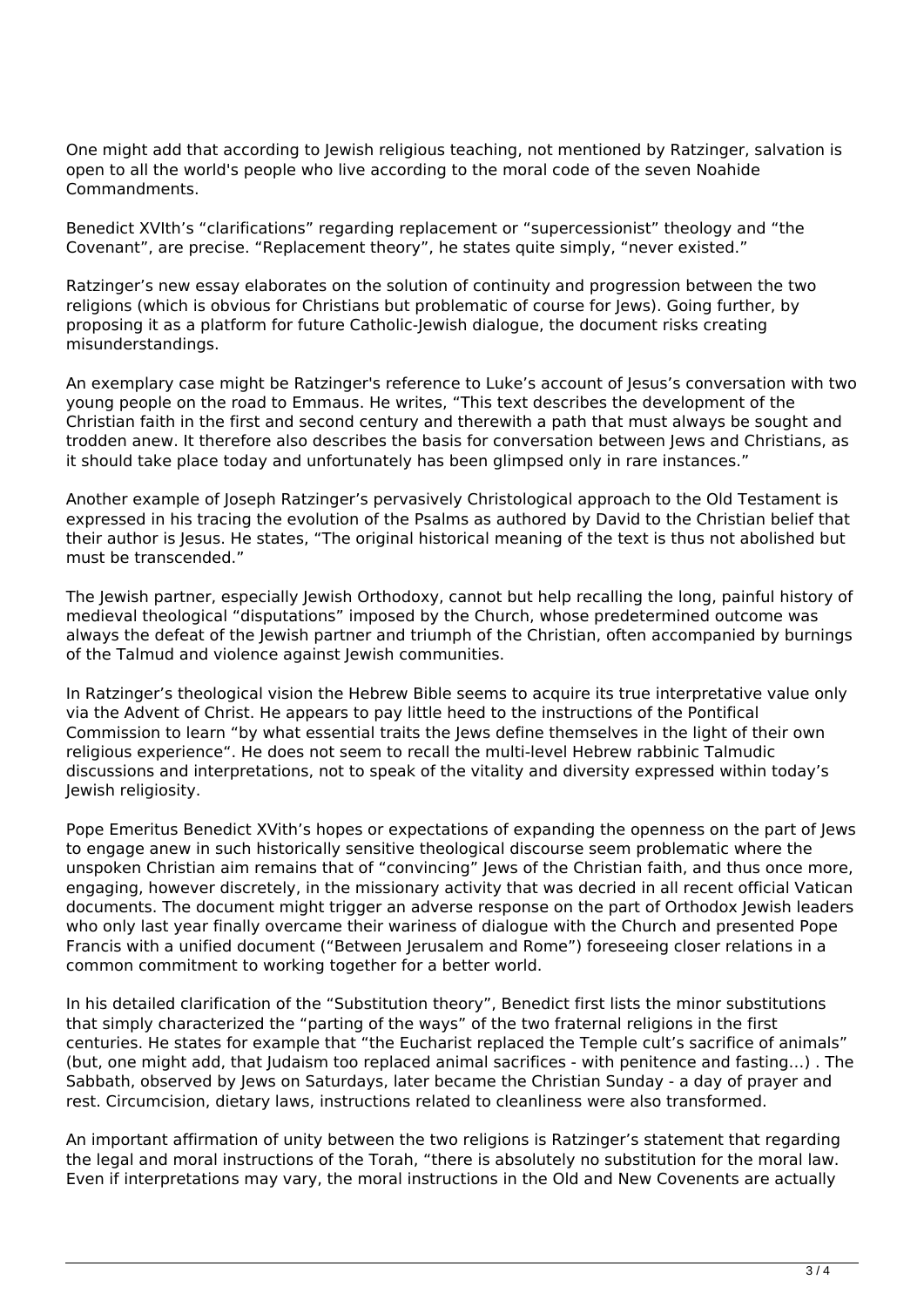One might add that according to Jewish religious teaching, not mentioned by Ratzinger, salvation is open to all the world's people who live according to the moral code of the seven Noahide Commandments.

Benedict XVIth's "clarifications" regarding replacement or "supercessionist" theology and "the Covenant", are precise. "Replacement theory", he states quite simply, "never existed."

Ratzinger's new essay elaborates on the solution of continuity and progression between the two religions (which is obvious for Christians but problematic of course for Jews). Going further, by proposing it as a platform for future Catholic-Jewish dialogue, the document risks creating misunderstandings.

An exemplary case might be Ratzinger's reference to Luke's account of Jesus's conversation with two young people on the road to Emmaus. He writes, "This text describes the development of the Christian faith in the first and second century and therewith a path that must always be sought and trodden anew. It therefore also describes the basis for conversation between Jews and Christians, as it should take place today and unfortunately has been glimpsed only in rare instances."

Another example of Joseph Ratzinger's pervasively Christological approach to the Old Testament is expressed in his tracing the evolution of the Psalms as authored by David to the Christian belief that their author is Jesus. He states, "The original historical meaning of the text is thus not abolished but must be transcended."

The Jewish partner, especially Jewish Orthodoxy, cannot but help recalling the long, painful history of medieval theological "disputations" imposed by the Church, whose predetermined outcome was always the defeat of the Jewish partner and triumph of the Christian, often accompanied by burnings of the Talmud and violence against Jewish communities.

In Ratzinger's theological vision the Hebrew Bible seems to acquire its true interpretative value only via the Advent of Christ. He appears to pay little heed to the instructions of the Pontifical Commission to learn "by what essential traits the Jews define themselves in the light of their own religious experience". He does not seem to recall the multi-level Hebrew rabbinic Talmudic discussions and interpretations, not to speak of the vitality and diversity expressed within today's Jewish religiosity.

Pope Emeritus Benedict XVith's hopes or expectations of expanding the openness on the part of Jews to engage anew in such historically sensitive theological discourse seem problematic where the unspoken Christian aim remains that of "convincing" Jews of the Christian faith, and thus once more, engaging, however discretely, in the missionary activity that was decried in all recent official Vatican documents. The document might trigger an adverse response on the part of Orthodox Jewish leaders who only last year finally overcame their wariness of dialogue with the Church and presented Pope Francis with a unified document ("Between Jerusalem and Rome") foreseeing closer relations in a common commitment to working together for a better world.

In his detailed clarification of the "Substitution theory", Benedict first lists the minor substitutions that simply characterized the "parting of the ways" of the two fraternal religions in the first centuries. He states for example that "the Eucharist replaced the Temple cult's sacrifice of animals" (but, one might add, that Judaism too replaced animal sacrifices - with penitence and fasting…) . The Sabbath, observed by Jews on Saturdays, later became the Christian Sunday - a day of prayer and rest. Circumcision, dietary laws, instructions related to cleanliness were also transformed.

An important affirmation of unity between the two religions is Ratzinger's statement that regarding the legal and moral instructions of the Torah, "there is absolutely no substitution for the moral law. Even if interpretations may vary, the moral instructions in the Old and New Covenents are actually